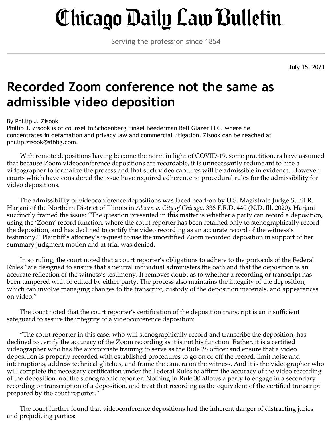## Chicago Daily Law Bulletin.

Serving the profession since 1854

July 15, 2021

## **Recorded Zoom conference not the same as admissible video deposition**

## By Phillip J. Zisook

Phillip J. Zisook is of counsel to Schoenberg Finkel Beederman Bell Glazer LLC, where he concentrates in defamation and privacy law and commercial litigation. Zisook can be reached at phillip.zisook@sfbbg.com.

With remote depositions having become the norm in light of COVID-19, some practitioners have assumed that because Zoom videoconference depositions are recordable, it is unnecessarily redundant to hire a videographer to formalize the process and that such video captures will be admissible in evidence. However, courts which have considered the issue have required adherence to procedural rules for the admissibility for video depositions.

The admissibility of videoconference depositions was faced head-on by U.S. Magistrate Judge Sunil R. Harjani of the Northern District of Illinois in *Alcorn v. City of Chicago*, 336 F.R.D. 440 (N.D. Ill. 2020). Harjani succinctly framed the issue: "The question presented in this matter is whether a party can record a deposition, using the 'Zoom' record function, where the court reporter has been retained only to stenographically record the deposition, and has declined to certify the video recording as an accurate record of the witness's testimony." Plaintiff's attorney's request to use the uncertified Zoom recorded deposition in support of her summary judgment motion and at trial was denied.

In so ruling, the court noted that a court reporter's obligations to adhere to the protocols of the Federal Rules "are designed to ensure that a neutral individual administers the oath and that the deposition is an accurate reflection of the witness's testimony. It removes doubt as to whether a recording or transcript has been tampered with or edited by either party. The process also maintains the integrity of the deposition, which can involve managing changes to the transcript, custody of the deposition materials, and appearances on video."

The court noted that the court reporter's certification of the deposition transcript is an insufficient safeguard to assure the integrity of a videoconference deposition:

"The court reporter in this case, who will stenographically record and transcribe the deposition, has declined to certify the accuracy of the Zoom recording as it is not his function. Rather, it is a certified videographer who has the appropriate training to serve as the Rule 28 officer and ensure that a video deposition is properly recorded with established procedures to go on or off the record, limit noise and interruptions, address technical glitches, and frame the camera on the witness. And it is the videographer who will complete the necessary certification under the Federal Rules to affirm the accuracy of the video recording of the deposition, not the stenographic reporter. Nothing in Rule 30 allows a party to engage in a secondary recording or transcription of a deposition, and treat that recording as the equivalent of the certified transcript prepared by the court reporter."

The court further found that videoconference depositions had the inherent danger of distracting juries and prejudicing parties: